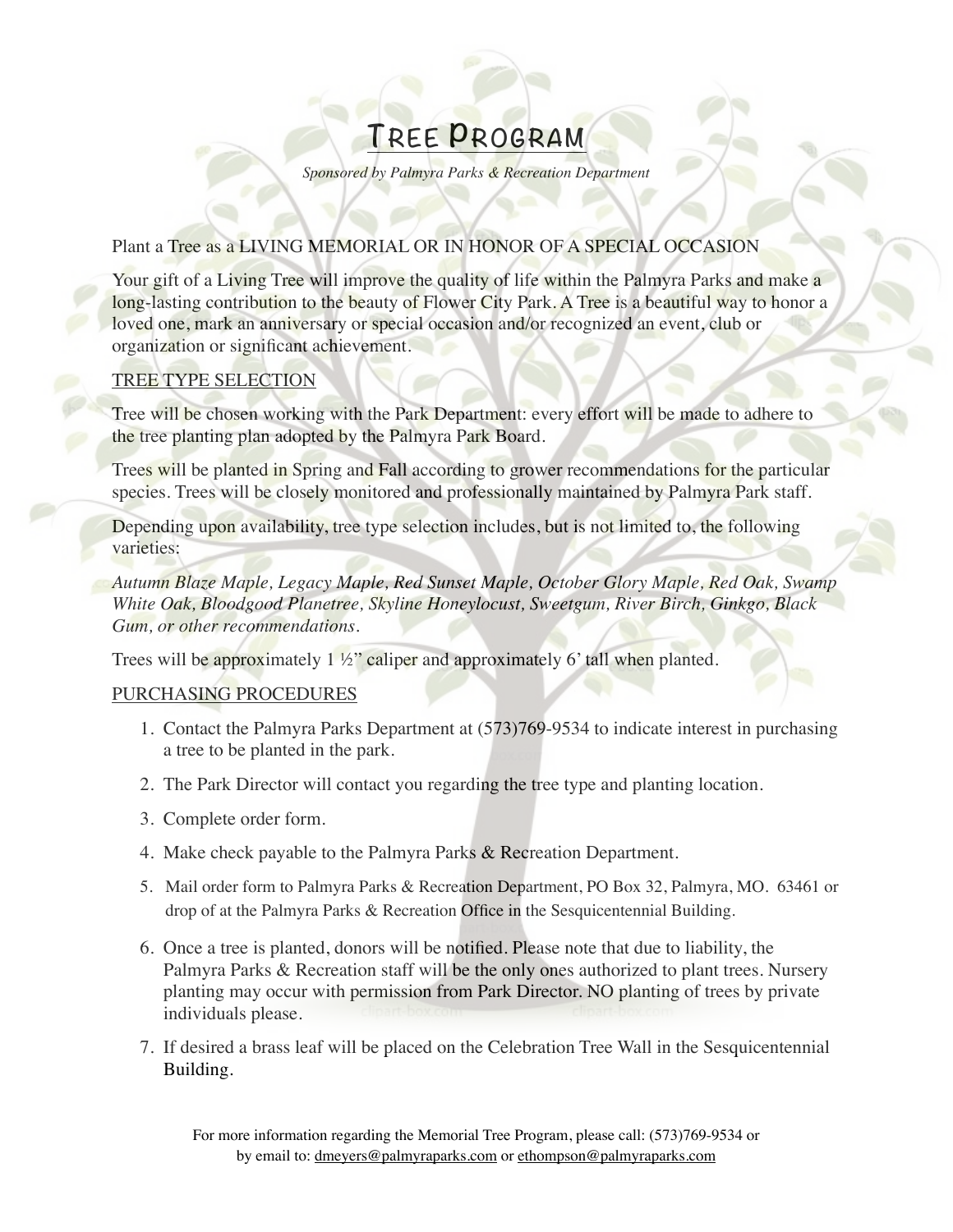# **TREE PROGRAM**

*Sponsored by Palmyra Parks & Recreation Department*

#### Plant a Tree as a LIVING MEMORIAL OR IN HONOR OF A SPECIAL OCCASION

Your gift of a Living Tree will improve the quality of life within the Palmyra Parks and make a long-lasting contribution to the beauty of Flower City Park. A Tree is a beautiful way to honor a loved one, mark an anniversary or special occasion and/or recognized an event, club or organization or significant achievement.

#### TREE TYPE SELECTION

Tree will be chosen working with the Park Department: every effort will be made to adhere to the tree planting plan adopted by the Palmyra Park Board.

Trees will be planted in Spring and Fall according to grower recommendations for the particular species. Trees will be closely monitored and professionally maintained by Palmyra Park staff.

Depending upon availability, tree type selection includes, but is not limited to, the following varieties:

*Autumn Blaze Maple, Legacy Maple, Red Sunset Maple, October Glory Maple, Red Oak, Swamp White Oak, Bloodgood Planetree, Skyline Honeylocust, Sweetgum, River Birch, Ginkgo, Black Gum, or other recommendations.* 

Trees will be approximately  $1\frac{1}{2}$ " caliper and approximately 6' tall when planted.

#### PURCHASING PROCEDURES

- 1. Contact the Palmyra Parks Department at (573)769-9534 to indicate interest in purchasing a tree to be planted in the park.
- 2. The Park Director will contact you regarding the tree type and planting location.
- 3. Complete order form.
- 4. Make check payable to the Palmyra Parks & Recreation Department.
- 5. Mail order form to Palmyra Parks & Recreation Department, PO Box 32, Palmyra, MO. 63461 or drop of at the Palmyra Parks & Recreation Office in the Sesquicentennial Building.
- 6. Once a tree is planted, donors will be notified. Please note that due to liability, the Palmyra Parks & Recreation staff will be the only ones authorized to plant trees. Nursery planting may occur with permission from Park Director. NO planting of trees by private individuals please.
- 7. If desired a brass leaf will be placed on the Celebration Tree Wall in the Sesquicentennial Building.